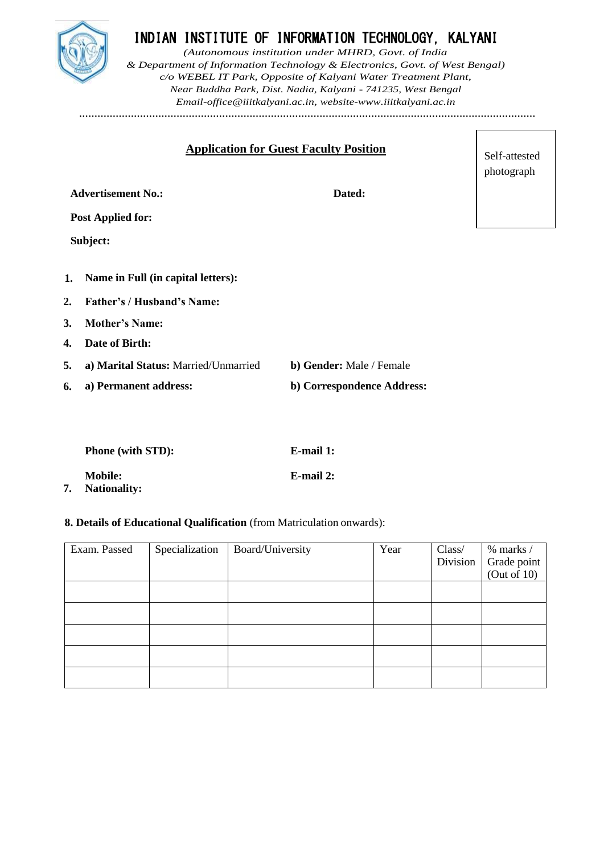

# INDIAN INSTITUTE OF INFORMATION TECHNOLOGY, KALYANI

*(Autonomous institution under MHRD, Govt. of India & Department of Information Technology & Electronics, Govt. of West Bengal) c/o WEBEL IT Park, Opposite of Kalyani Water Treatment Plant, Near Buddha Park, Dist. Nadia, Kalyani - 741235, West Bengal [Email-office@iiitkalyani.ac.in, w](mailto:Email-office@iiitkalyani.ac.in)ebsite[-www.iiitkalyani.ac.in](http://www.iiitkalyani.ac.in/)* **……………………………………………………………………………………………………………………………………**

> Self-attested photograph

 $\sqrt{ }$ 

| <b>Application for Guest Faculty Position</b> |                                 |  |  |  |
|-----------------------------------------------|---------------------------------|--|--|--|
|                                               |                                 |  |  |  |
| <b>Advertisement No.:</b>                     | Dated:                          |  |  |  |
| <b>Post Applied for:</b>                      |                                 |  |  |  |
| Subject:                                      |                                 |  |  |  |
|                                               |                                 |  |  |  |
| Name in Full (in capital letters):<br>1.      |                                 |  |  |  |
| <b>Father's / Husband's Name:</b><br>2.       |                                 |  |  |  |
| <b>Mother's Name:</b><br>3.                   |                                 |  |  |  |
| Date of Birth:<br>$\mathbf{4}$                |                                 |  |  |  |
| 5.<br>a) Marital Status: Married/Unmarried    | <b>b) Gender:</b> Male / Female |  |  |  |
| a) Permanent address:<br>6.                   | b) Correspondence Address:      |  |  |  |
|                                               |                                 |  |  |  |

| <b>Phone (with STD):</b>              | E-mail 1: |
|---------------------------------------|-----------|
| <b>Mobile:</b><br><b>Nationality:</b> | E-mail 2: |

## **8. Details of Educational Qualification** (from Matriculation onwards):

| Exam. Passed | Specialization | Board/University | Year | Class/<br>Division | $%$ marks $/$<br>Grade point<br>(Out of 10) |
|--------------|----------------|------------------|------|--------------------|---------------------------------------------|
|              |                |                  |      |                    |                                             |
|              |                |                  |      |                    |                                             |
|              |                |                  |      |                    |                                             |
|              |                |                  |      |                    |                                             |
|              |                |                  |      |                    |                                             |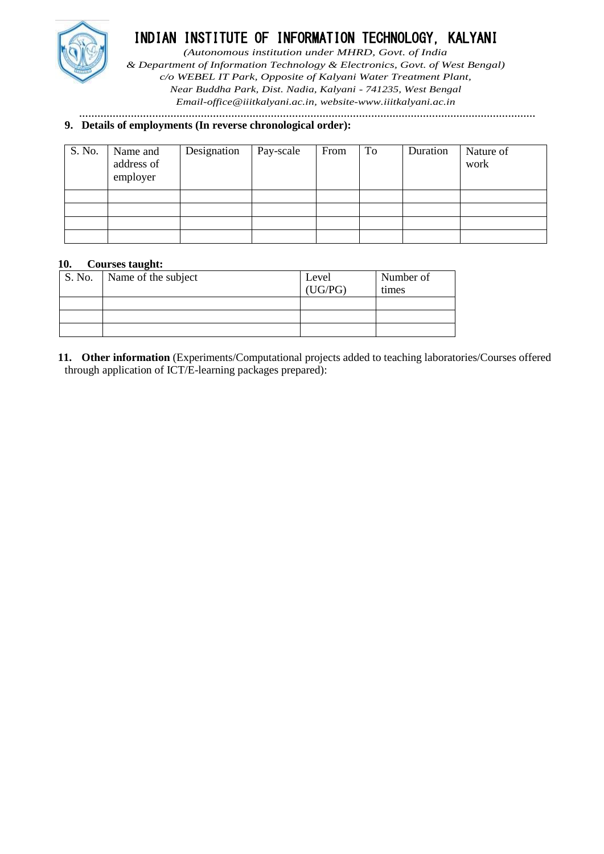

# INDIAN INSTITUTE OF INFORMATION TECHNOLOGY, KALYANI

*(Autonomous institution under MHRD, Govt. of India*

*& Department of Information Technology & Electronics, Govt. of West Bengal) c/o WEBEL IT Park, Opposite of Kalyani Water Treatment Plant, Near Buddha Park, Dist. Nadia, Kalyani - 741235, West Bengal [Email-office@iiitkalyani.ac.in, w](mailto:Email-office@iiitkalyani.ac.in)ebsite[-www.iiitkalyani.ac.in](http://www.iiitkalyani.ac.in/)*

**……………………………………………………………………………………………………………………………………**

## **9. Details of employments (In reverse chronological order):**

| S. No. | Name and<br>address of<br>employer | Designation | Pay-scale | From | To | Duration | Nature of<br>work |
|--------|------------------------------------|-------------|-----------|------|----|----------|-------------------|
|        |                                    |             |           |      |    |          |                   |
|        |                                    |             |           |      |    |          |                   |
|        |                                    |             |           |      |    |          |                   |
|        |                                    |             |           |      |    |          |                   |

# **10. Courses taught:**

| S. No. | Name of the subject | Level<br>(UG/PG) | Number of<br>times |
|--------|---------------------|------------------|--------------------|
|        |                     |                  |                    |
|        |                     |                  |                    |
|        |                     |                  |                    |

**11. Other information** (Experiments/Computational projects added to teaching laboratories/Courses offered through application of ICT/E-learning packages prepared):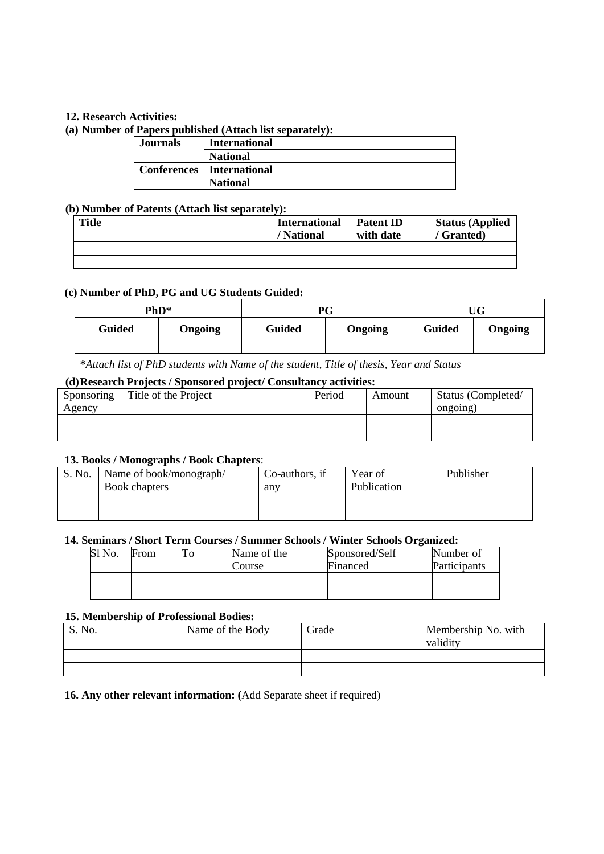## **12. Research Activities:**

### **(a) Number of Papers published (Attach list separately):**

| Journals | <b>International</b>        |  |
|----------|-----------------------------|--|
|          | <b>National</b>             |  |
|          | Conferences   International |  |
|          | <b>National</b>             |  |

# **(b) Number of Patents (Attach list separately):**

| Title | <b>International</b><br>/ National | <b>Patent ID</b><br>with date | <b>Status (Applied)</b><br>/ Granted) |
|-------|------------------------------------|-------------------------------|---------------------------------------|
|       |                                    |                               |                                       |
|       |                                    |                               |                                       |

#### **(c) Number of PhD, PG and UG Students Guided:**

|               | PhD*    |        | PG      |               | UG      |
|---------------|---------|--------|---------|---------------|---------|
| <b>Guided</b> | Ongoing | Guided | Ongoing | <b>Guided</b> | Ongoing |
|               |         |        |         |               |         |

**\****Attach list of PhD students with Name of the student, Title of thesis, Year and Status*

# **(d)Research Projects / Sponsored project/ Consultancy activities:**

| Sponsoring | Title of the Project | Period | Amount | Status (Completed/ |
|------------|----------------------|--------|--------|--------------------|
| Agency     |                      |        |        | ongoing)           |
|            |                      |        |        |                    |
|            |                      |        |        |                    |

## **13. Books / Monographs / Book Chapters**:

| S. No. | Name of book/monograph/ | Co-authors, if | Year of     | Publisher |
|--------|-------------------------|----------------|-------------|-----------|
|        | <b>Book chapters</b>    | anv            | Publication |           |
|        |                         |                |             |           |
|        |                         |                |             |           |

## **14. Seminars / Short Term Courses / Summer Schools / Winter Schools Organized:**

| Sl No. | From | Name of the<br>Course | Sponsored/Self<br>Financed | Number of<br>Participants |
|--------|------|-----------------------|----------------------------|---------------------------|
|        |      |                       |                            |                           |
|        |      |                       |                            |                           |

#### **15. Membership of Professional Bodies:**

| S. No. | Name of the Body | Grade | Membership No. with<br>validity |
|--------|------------------|-------|---------------------------------|
|        |                  |       |                                 |
|        |                  |       |                                 |

**16. Any other relevant information: (**Add Separate sheet if required)